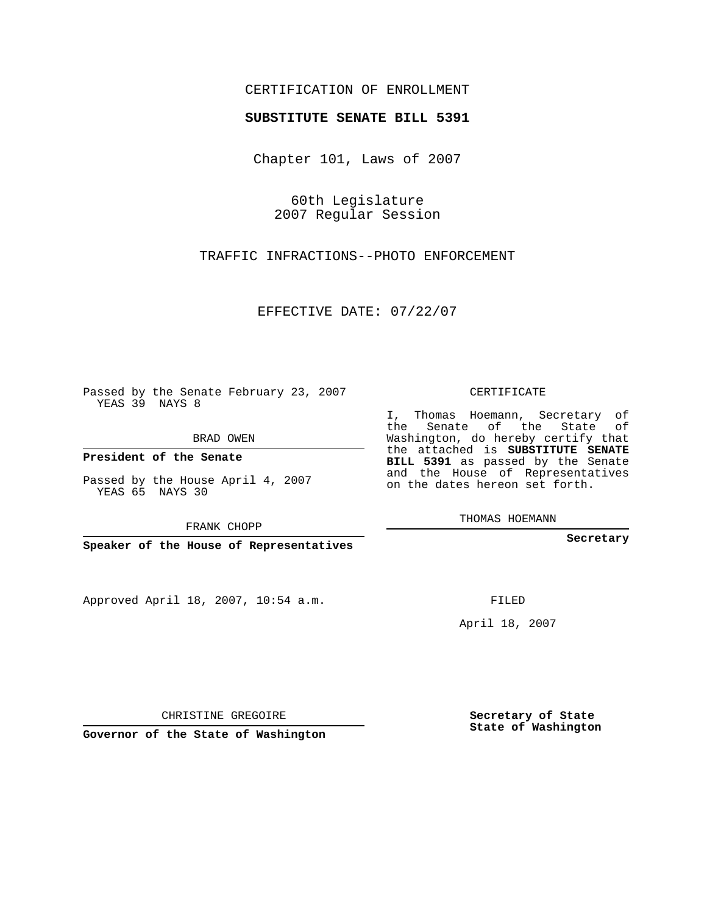## CERTIFICATION OF ENROLLMENT

## **SUBSTITUTE SENATE BILL 5391**

Chapter 101, Laws of 2007

60th Legislature 2007 Regular Session

TRAFFIC INFRACTIONS--PHOTO ENFORCEMENT

EFFECTIVE DATE: 07/22/07

Passed by the Senate February 23, 2007 YEAS 39 NAYS 8

BRAD OWEN

**President of the Senate**

Passed by the House April 4, 2007 YEAS 65 NAYS 30

FRANK CHOPP

**Speaker of the House of Representatives**

Approved April 18, 2007, 10:54 a.m.

CERTIFICATE

I, Thomas Hoemann, Secretary of the Senate of the State of Washington, do hereby certify that the attached is **SUBSTITUTE SENATE BILL 5391** as passed by the Senate and the House of Representatives on the dates hereon set forth.

THOMAS HOEMANN

**Secretary**

FILED

April 18, 2007

CHRISTINE GREGOIRE

**Governor of the State of Washington**

**Secretary of State State of Washington**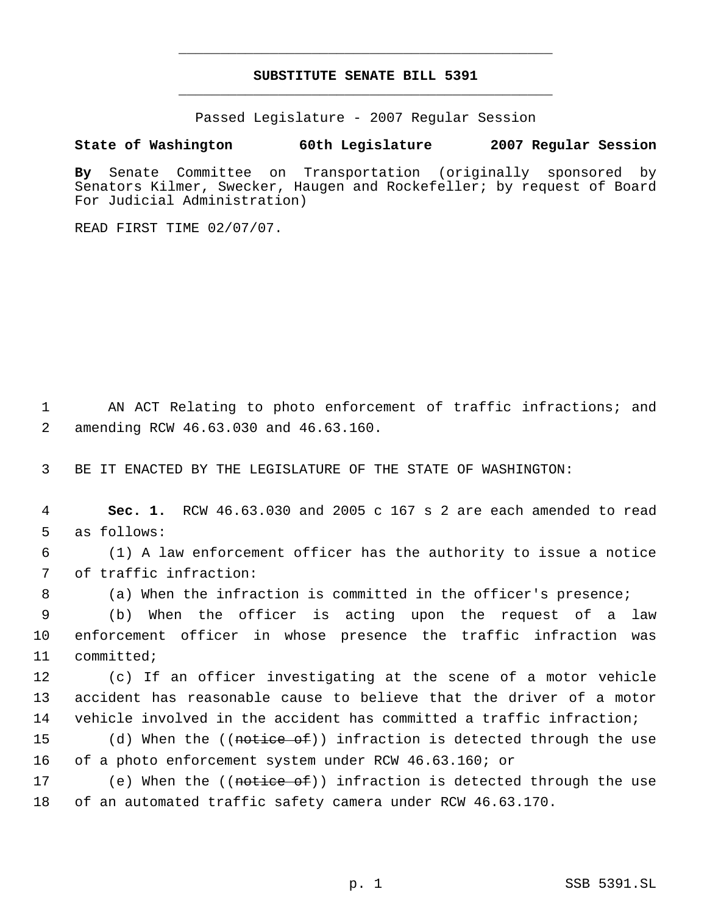## **SUBSTITUTE SENATE BILL 5391** \_\_\_\_\_\_\_\_\_\_\_\_\_\_\_\_\_\_\_\_\_\_\_\_\_\_\_\_\_\_\_\_\_\_\_\_\_\_\_\_\_\_\_\_\_

\_\_\_\_\_\_\_\_\_\_\_\_\_\_\_\_\_\_\_\_\_\_\_\_\_\_\_\_\_\_\_\_\_\_\_\_\_\_\_\_\_\_\_\_\_

Passed Legislature - 2007 Regular Session

## **State of Washington 60th Legislature 2007 Regular Session**

**By** Senate Committee on Transportation (originally sponsored by Senators Kilmer, Swecker, Haugen and Rockefeller; by request of Board For Judicial Administration)

READ FIRST TIME 02/07/07.

 1 AN ACT Relating to photo enforcement of traffic infractions; and 2 amending RCW 46.63.030 and 46.63.160.

3 BE IT ENACTED BY THE LEGISLATURE OF THE STATE OF WASHINGTON:

 4 **Sec. 1.** RCW 46.63.030 and 2005 c 167 s 2 are each amended to read 5 as follows:

 6 (1) A law enforcement officer has the authority to issue a notice 7 of traffic infraction:

8 (a) When the infraction is committed in the officer's presence;

 9 (b) When the officer is acting upon the request of a law 10 enforcement officer in whose presence the traffic infraction was 11 committed;

12 (c) If an officer investigating at the scene of a motor vehicle 13 accident has reasonable cause to believe that the driver of a motor 14 vehicle involved in the accident has committed a traffic infraction;

15 (d) When the ((<del>notice of</del>)) infraction is detected through the use 16 of a photo enforcement system under RCW 46.63.160; or

17 (e) When the ((<del>notice of</del>)) infraction is detected through the use 18 of an automated traffic safety camera under RCW 46.63.170.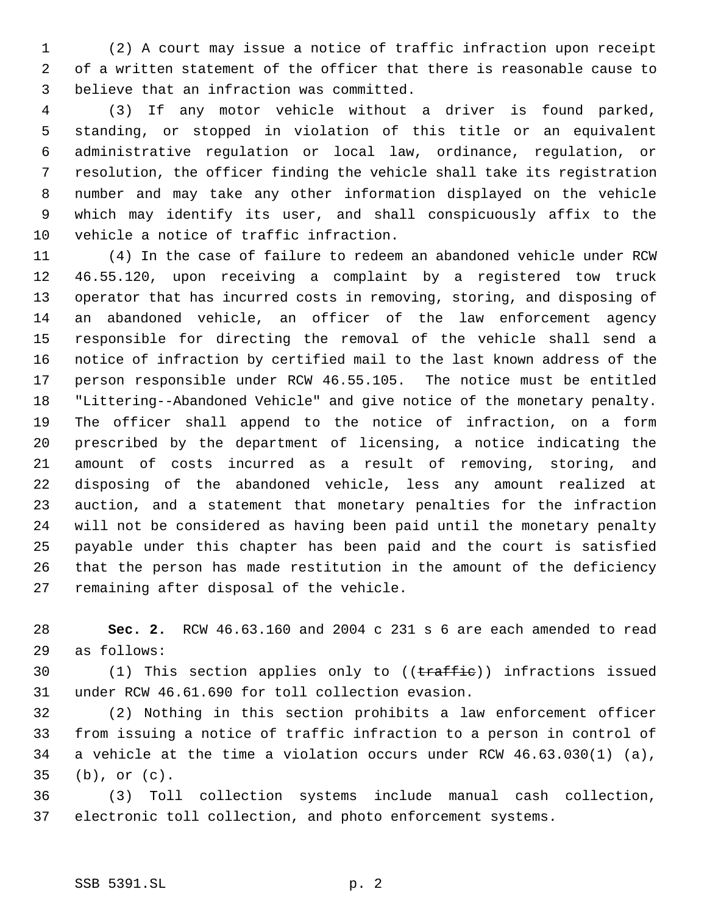(2) A court may issue a notice of traffic infraction upon receipt of a written statement of the officer that there is reasonable cause to believe that an infraction was committed.

 (3) If any motor vehicle without a driver is found parked, standing, or stopped in violation of this title or an equivalent administrative regulation or local law, ordinance, regulation, or resolution, the officer finding the vehicle shall take its registration number and may take any other information displayed on the vehicle which may identify its user, and shall conspicuously affix to the vehicle a notice of traffic infraction.

 (4) In the case of failure to redeem an abandoned vehicle under RCW 46.55.120, upon receiving a complaint by a registered tow truck operator that has incurred costs in removing, storing, and disposing of an abandoned vehicle, an officer of the law enforcement agency responsible for directing the removal of the vehicle shall send a notice of infraction by certified mail to the last known address of the person responsible under RCW 46.55.105. The notice must be entitled "Littering--Abandoned Vehicle" and give notice of the monetary penalty. The officer shall append to the notice of infraction, on a form prescribed by the department of licensing, a notice indicating the amount of costs incurred as a result of removing, storing, and disposing of the abandoned vehicle, less any amount realized at auction, and a statement that monetary penalties for the infraction will not be considered as having been paid until the monetary penalty payable under this chapter has been paid and the court is satisfied that the person has made restitution in the amount of the deficiency remaining after disposal of the vehicle.

 **Sec. 2.** RCW 46.63.160 and 2004 c 231 s 6 are each amended to read as follows:

30 (1) This section applies only to ((traffie)) infractions issued under RCW 46.61.690 for toll collection evasion.

 (2) Nothing in this section prohibits a law enforcement officer from issuing a notice of traffic infraction to a person in control of a vehicle at the time a violation occurs under RCW 46.63.030(1) (a), (b), or (c).

 (3) Toll collection systems include manual cash collection, electronic toll collection, and photo enforcement systems.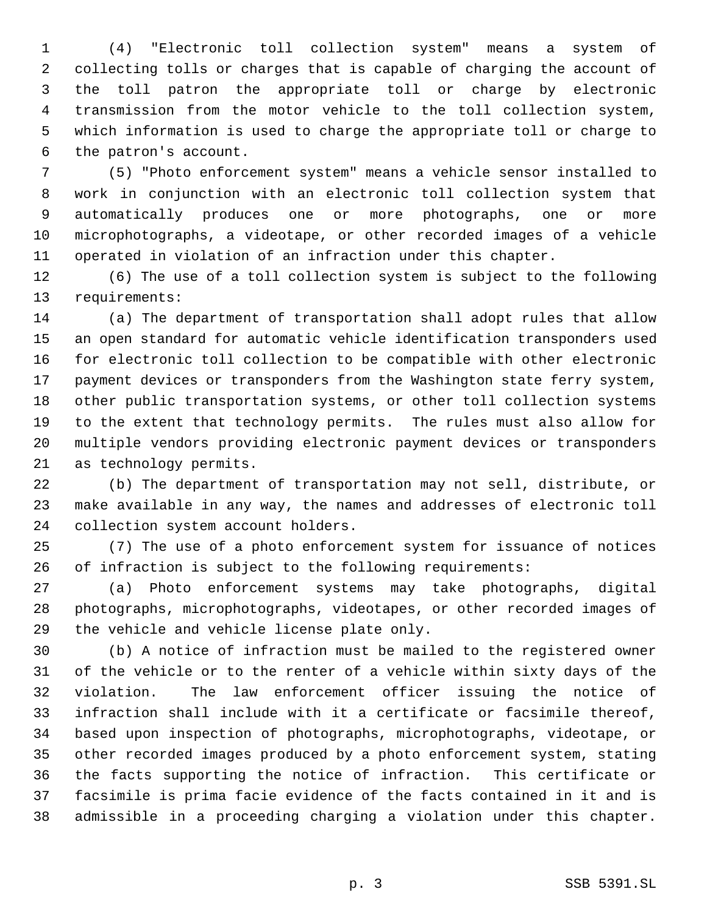(4) "Electronic toll collection system" means a system of collecting tolls or charges that is capable of charging the account of the toll patron the appropriate toll or charge by electronic transmission from the motor vehicle to the toll collection system, which information is used to charge the appropriate toll or charge to the patron's account.

 (5) "Photo enforcement system" means a vehicle sensor installed to work in conjunction with an electronic toll collection system that automatically produces one or more photographs, one or more microphotographs, a videotape, or other recorded images of a vehicle operated in violation of an infraction under this chapter.

 (6) The use of a toll collection system is subject to the following requirements:

 (a) The department of transportation shall adopt rules that allow an open standard for automatic vehicle identification transponders used for electronic toll collection to be compatible with other electronic payment devices or transponders from the Washington state ferry system, other public transportation systems, or other toll collection systems to the extent that technology permits. The rules must also allow for multiple vendors providing electronic payment devices or transponders as technology permits.

 (b) The department of transportation may not sell, distribute, or make available in any way, the names and addresses of electronic toll collection system account holders.

 (7) The use of a photo enforcement system for issuance of notices of infraction is subject to the following requirements:

 (a) Photo enforcement systems may take photographs, digital photographs, microphotographs, videotapes, or other recorded images of the vehicle and vehicle license plate only.

 (b) A notice of infraction must be mailed to the registered owner of the vehicle or to the renter of a vehicle within sixty days of the violation. The law enforcement officer issuing the notice of infraction shall include with it a certificate or facsimile thereof, based upon inspection of photographs, microphotographs, videotape, or other recorded images produced by a photo enforcement system, stating the facts supporting the notice of infraction. This certificate or facsimile is prima facie evidence of the facts contained in it and is admissible in a proceeding charging a violation under this chapter.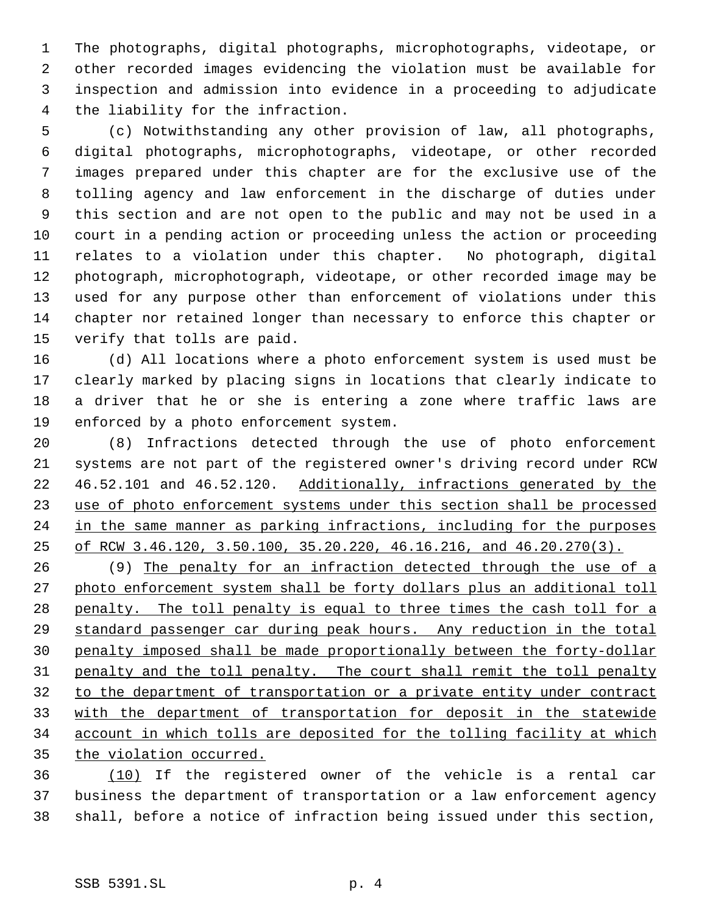The photographs, digital photographs, microphotographs, videotape, or other recorded images evidencing the violation must be available for inspection and admission into evidence in a proceeding to adjudicate the liability for the infraction.

 (c) Notwithstanding any other provision of law, all photographs, digital photographs, microphotographs, videotape, or other recorded images prepared under this chapter are for the exclusive use of the tolling agency and law enforcement in the discharge of duties under this section and are not open to the public and may not be used in a court in a pending action or proceeding unless the action or proceeding relates to a violation under this chapter. No photograph, digital photograph, microphotograph, videotape, or other recorded image may be used for any purpose other than enforcement of violations under this chapter nor retained longer than necessary to enforce this chapter or verify that tolls are paid.

 (d) All locations where a photo enforcement system is used must be clearly marked by placing signs in locations that clearly indicate to a driver that he or she is entering a zone where traffic laws are enforced by a photo enforcement system.

 (8) Infractions detected through the use of photo enforcement systems are not part of the registered owner's driving record under RCW 46.52.101 and 46.52.120. Additionally, infractions generated by the use of photo enforcement systems under this section shall be processed 24 in the same manner as parking infractions, including for the purposes of RCW 3.46.120, 3.50.100, 35.20.220, 46.16.216, and 46.20.270(3).

 (9) The penalty for an infraction detected through the use of a photo enforcement system shall be forty dollars plus an additional toll 28 penalty. The toll penalty is equal to three times the cash toll for a standard passenger car during peak hours. Any reduction in the total penalty imposed shall be made proportionally between the forty-dollar penalty and the toll penalty. The court shall remit the toll penalty to the department of transportation or a private entity under contract with the department of transportation for deposit in the statewide account in which tolls are deposited for the tolling facility at which 35 the violation occurred.

 (10) If the registered owner of the vehicle is a rental car business the department of transportation or a law enforcement agency shall, before a notice of infraction being issued under this section,